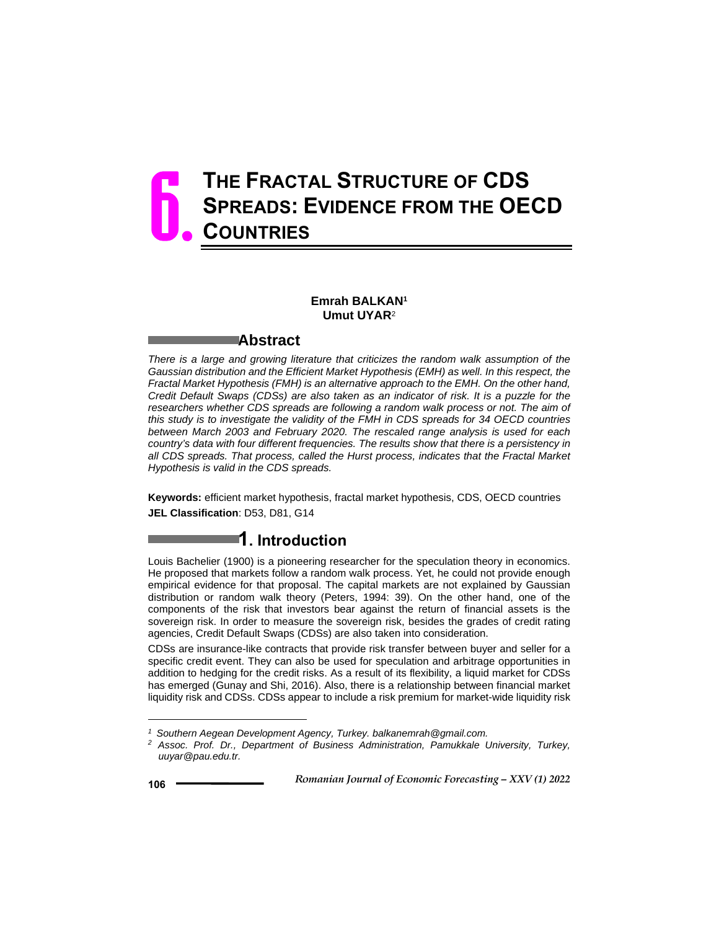# **THE FRACTAL STRUCTURE OF CDS SPREADS: EVIDENCE FROM THE OECD COUNTRIES** 6.

#### **Emrah BALKAN1 Umut UYAR**<sup>2</sup>

#### **Abstract**

*There is a large and growing literature that criticizes the random walk assumption of the Gaussian distribution and the Efficient Market Hypothesis (EMH) as well. In this respect, the Fractal Market Hypothesis (FMH) is an alternative approach to the EMH. On the other hand, Credit Default Swaps (CDSs) are also taken as an indicator of risk. It is a puzzle for the*  researchers whether CDS spreads are following a random walk process or not. The aim of *this study is to investigate the validity of the FMH in CDS spreads for 34 OECD countries between March 2003 and February 2020. The rescaled range analysis is used for each country's data with four different frequencies. The results show that there is a persistency in all CDS spreads. That process, called the Hurst process, indicates that the Fractal Market Hypothesis is valid in the CDS spreads.* 

**Keywords:** efficient market hypothesis, fractal market hypothesis, CDS, OECD countries **JEL Classification**: D53, D81, G14

## **1. Introduction**

Louis Bachelier (1900) is a pioneering researcher for the speculation theory in economics. He proposed that markets follow a random walk process. Yet, he could not provide enough empirical evidence for that proposal. The capital markets are not explained by Gaussian distribution or random walk theory (Peters, 1994: 39). On the other hand, one of the components of the risk that investors bear against the return of financial assets is the sovereign risk. In order to measure the sovereign risk, besides the grades of credit rating agencies, Credit Default Swaps (CDSs) are also taken into consideration.

CDSs are insurance-like contracts that provide risk transfer between buyer and seller for a specific credit event. They can also be used for speculation and arbitrage opportunities in addition to hedging for the credit risks. As a result of its flexibility, a liquid market for CDSs has emerged (Gunay and Shi, 2016). Also, there is a relationship between financial market liquidity risk and CDSs. CDSs appear to include a risk premium for market-wide liquidity risk

 $\overline{a}$ 

*<sup>1</sup> Southern Aegean Development Agency, Turkey. balkanemrah@gmail.com.*

*<sup>2</sup> Assoc. Prof. Dr., Department of Business Administration, Pamukkale University, Turkey, uuyar@pau.edu.tr.*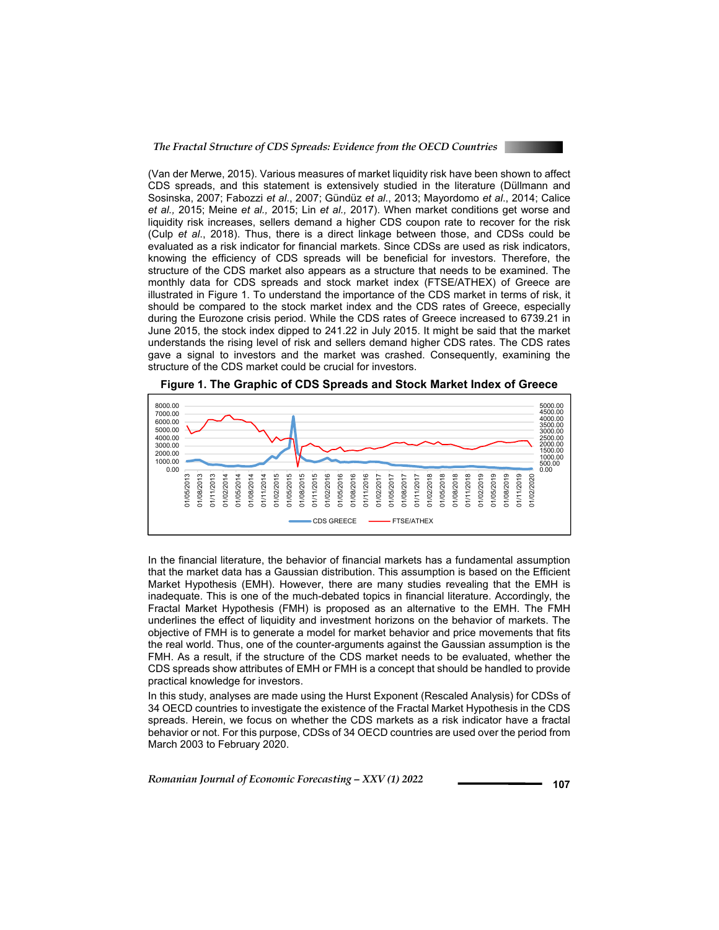

(Van der Merwe, 2015). Various measures of market liquidity risk have been shown to affect CDS spreads, and this statement is extensively studied in the literature (Düllmann and Sosinska, 2007; Fabozzi *et al*., 2007; Gündüz *et al*., 2013; Mayordomo *et al*., 2014; Calice *et al.,* 2015; Meine *et al.,* 2015; Lin *et al.,* 2017). When market conditions get worse and liquidity risk increases, sellers demand a higher CDS coupon rate to recover for the risk (Culp *et al*., 2018). Thus, there is a direct linkage between those, and CDSs could be evaluated as a risk indicator for financial markets. Since CDSs are used as risk indicators, knowing the efficiency of CDS spreads will be beneficial for investors. Therefore, the structure of the CDS market also appears as a structure that needs to be examined. The monthly data for CDS spreads and stock market index (FTSE/ATHEX) of Greece are illustrated in Figure 1. To understand the importance of the CDS market in terms of risk, it should be compared to the stock market index and the CDS rates of Greece, especially during the Eurozone crisis period. While the CDS rates of Greece increased to 6739.21 in June 2015, the stock index dipped to 241.22 in July 2015. It might be said that the market understands the rising level of risk and sellers demand higher CDS rates. The CDS rates gave a signal to investors and the market was crashed. Consequently, examining the structure of the CDS market could be crucial for investors.





In the financial literature, the behavior of financial markets has a fundamental assumption that the market data has a Gaussian distribution. This assumption is based on the Efficient Market Hypothesis (EMH). However, there are many studies revealing that the EMH is inadequate. This is one of the much-debated topics in financial literature. Accordingly, the Fractal Market Hypothesis (FMH) is proposed as an alternative to the EMH. The FMH underlines the effect of liquidity and investment horizons on the behavior of markets. The objective of FMH is to generate a model for market behavior and price movements that fits the real world. Thus, one of the counter-arguments against the Gaussian assumption is the FMH. As a result, if the structure of the CDS market needs to be evaluated, whether the CDS spreads show attributes of EMH or FMH is a concept that should be handled to provide practical knowledge for investors.

In this study, analyses are made using the Hurst Exponent (Rescaled Analysis) for CDSs of 34 OECD countries to investigate the existence of the Fractal Market Hypothesis in the CDS spreads. Herein, we focus on whether the CDS markets as a risk indicator have a fractal behavior or not. For this purpose, CDSs of 34 OECD countries are used over the period from March 2003 to February 2020.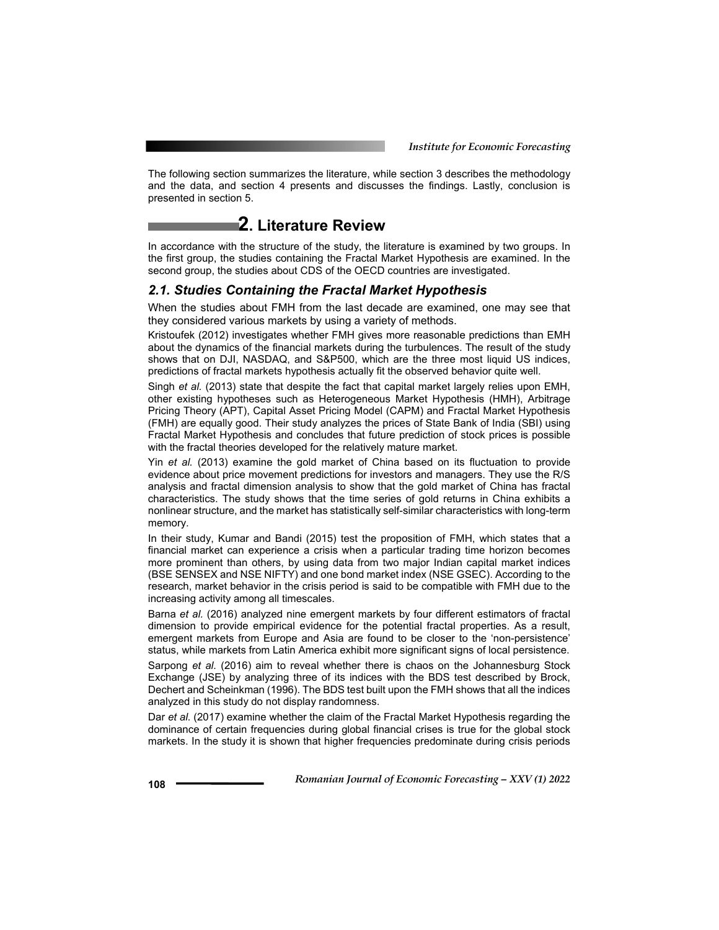The following section summarizes the literature, while section 3 describes the methodology and the data, and section 4 presents and discusses the findings. Lastly, conclusion is presented in section 5.

### **2. Literature Review**

In accordance with the structure of the study, the literature is examined by two groups. In the first group, the studies containing the Fractal Market Hypothesis are examined. In the second group, the studies about CDS of the OECD countries are investigated.

#### *2.1. Studies Containing the Fractal Market Hypothesis*

When the studies about FMH from the last decade are examined, one may see that they considered various markets by using a variety of methods.

Kristoufek (2012) investigates whether FMH gives more reasonable predictions than EMH about the dynamics of the financial markets during the turbulences. The result of the study shows that on DJI, NASDAQ, and S&P500, which are the three most liquid US indices, predictions of fractal markets hypothesis actually fit the observed behavior quite well.

Singh *et al.* (2013) state that despite the fact that capital market largely relies upon EMH, other existing hypotheses such as Heterogeneous Market Hypothesis (HMH), Arbitrage Pricing Theory (APT), Capital Asset Pricing Model (CAPM) and Fractal Market Hypothesis (FMH) are equally good. Their study analyzes the prices of State Bank of India (SBI) using Fractal Market Hypothesis and concludes that future prediction of stock prices is possible with the fractal theories developed for the relatively mature market.

Yin *et al.* (2013) examine the gold market of China based on its fluctuation to provide evidence about price movement predictions for investors and managers. They use the R/S analysis and fractal dimension analysis to show that the gold market of China has fractal characteristics. The study shows that the time series of gold returns in China exhibits a nonlinear structure, and the market has statistically self-similar characteristics with long-term memory.

In their study, Kumar and Bandi (2015) test the proposition of FMH, which states that a financial market can experience a crisis when a particular trading time horizon becomes more prominent than others, by using data from two major Indian capital market indices (BSE SENSEX and NSE NIFTY) and one bond market index (NSE GSEC). According to the research, market behavior in the crisis period is said to be compatible with FMH due to the increasing activity among all timescales.

Barna *et al.* (2016) analyzed nine emergent markets by four different estimators of fractal dimension to provide empirical evidence for the potential fractal properties. As a result, emergent markets from Europe and Asia are found to be closer to the 'non-persistence' status, while markets from Latin America exhibit more significant signs of local persistence.

Sarpong *et al.* (2016) aim to reveal whether there is chaos on the Johannesburg Stock Exchange (JSE) by analyzing three of its indices with the BDS test described by Brock, Dechert and Scheinkman (1996). The BDS test built upon the FMH shows that all the indices analyzed in this study do not display randomness.

Dar *et al.* (2017) examine whether the claim of the Fractal Market Hypothesis regarding the dominance of certain frequencies during global financial crises is true for the global stock markets. In the study it is shown that higher frequencies predominate during crisis periods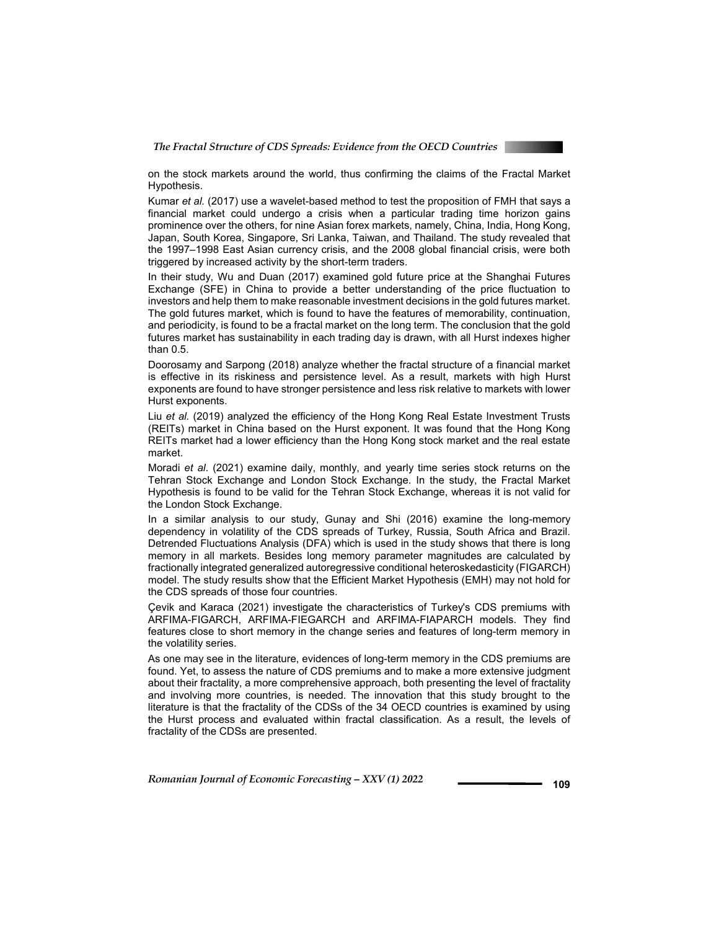

on the stock markets around the world, thus confirming the claims of the Fractal Market Hypothesis.

Kumar *et al.* (2017) use a wavelet-based method to test the proposition of FMH that says a financial market could undergo a crisis when a particular trading time horizon gains prominence over the others, for nine Asian forex markets, namely, China, India, Hong Kong, Japan, South Korea, Singapore, Sri Lanka, Taiwan, and Thailand. The study revealed that the 1997–1998 East Asian currency crisis, and the 2008 global financial crisis, were both triggered by increased activity by the short-term traders.

In their study, Wu and Duan (2017) examined gold future price at the Shanghai Futures Exchange (SFE) in China to provide a better understanding of the price fluctuation to investors and help them to make reasonable investment decisions in the gold futures market. The gold futures market, which is found to have the features of memorability, continuation, and periodicity, is found to be a fractal market on the long term. The conclusion that the gold futures market has sustainability in each trading day is drawn, with all Hurst indexes higher than 0.5.

Doorosamy and Sarpong (2018) analyze whether the fractal structure of a financial market is effective in its riskiness and persistence level. As a result, markets with high Hurst exponents are found to have stronger persistence and less risk relative to markets with lower Hurst exponents.

Liu *et al.* (2019) analyzed the efficiency of the Hong Kong Real Estate Investment Trusts (REITs) market in China based on the Hurst exponent. It was found that the Hong Kong REITs market had a lower efficiency than the Hong Kong stock market and the real estate market.

Moradi *et al*. (2021) examine daily, monthly, and yearly time series stock returns on the Tehran Stock Exchange and London Stock Exchange. In the study, the Fractal Market Hypothesis is found to be valid for the Tehran Stock Exchange, whereas it is not valid for the London Stock Exchange.

In a similar analysis to our study, Gunay and Shi (2016) examine the long-memory dependency in volatility of the CDS spreads of Turkey, Russia, South Africa and Brazil. Detrended Fluctuations Analysis (DFA) which is used in the study shows that there is long memory in all markets. Besides long memory parameter magnitudes are calculated by fractionally integrated generalized autoregressive conditional heteroskedasticity (FIGARCH) model. The study results show that the Efficient Market Hypothesis (EMH) may not hold for the CDS spreads of those four countries.

Çevik and Karaca (2021) investigate the characteristics of Turkey's CDS premiums with ARFIMA-FIGARCH, ARFIMA-FIEGARCH and ARFIMA-FIAPARCH models. They find features close to short memory in the change series and features of long-term memory in the volatility series.

As one may see in the literature, evidences of long-term memory in the CDS premiums are found. Yet, to assess the nature of CDS premiums and to make a more extensive judgment about their fractality, a more comprehensive approach, both presenting the level of fractality and involving more countries, is needed. The innovation that this study brought to the literature is that the fractality of the CDSs of the 34 OECD countries is examined by using the Hurst process and evaluated within fractal classification. As a result, the levels of fractality of the CDSs are presented.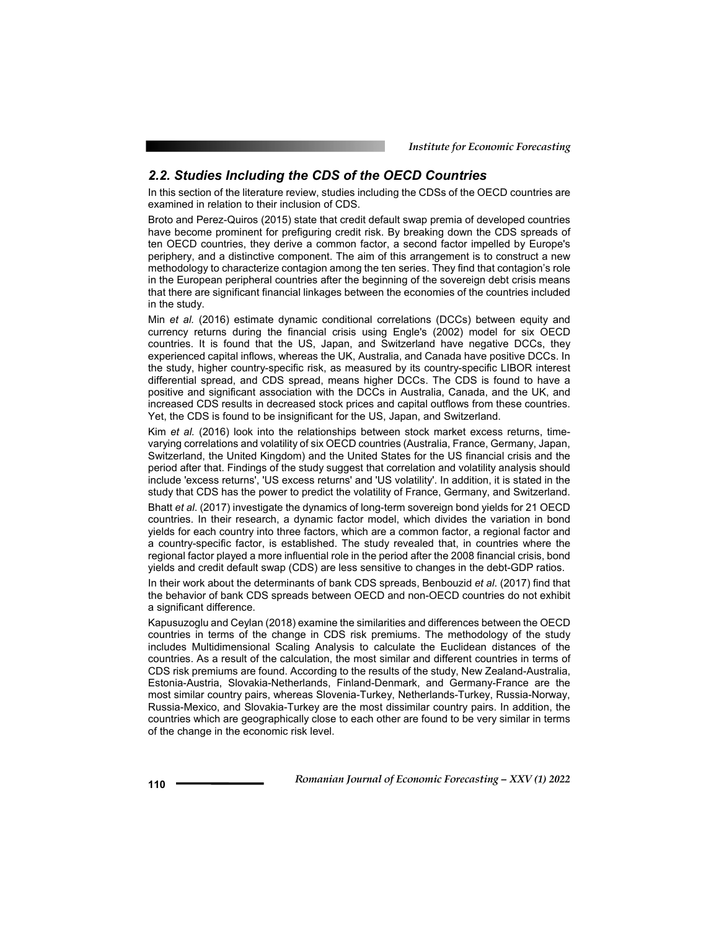#### *2.2. Studies Including the CDS of the OECD Countries*

In this section of the literature review, studies including the CDSs of the OECD countries are examined in relation to their inclusion of CDS.

Broto and Perez-Quiros (2015) state that credit default swap premia of developed countries have become prominent for prefiguring credit risk. By breaking down the CDS spreads of ten OECD countries, they derive a common factor, a second factor impelled by Europe's periphery, and a distinctive component. The aim of this arrangement is to construct a new methodology to characterize contagion among the ten series. They find that contagion's role in the European peripheral countries after the beginning of the sovereign debt crisis means that there are significant financial linkages between the economies of the countries included in the study.

Min *et al.* (2016) estimate dynamic conditional correlations (DCCs) between equity and currency returns during the financial crisis using Engle's (2002) model for six OECD countries. It is found that the US, Japan, and Switzerland have negative DCCs, they experienced capital inflows, whereas the UK, Australia, and Canada have positive DCCs. In the study, higher country-specific risk, as measured by its country-specific LIBOR interest differential spread, and CDS spread, means higher DCCs. The CDS is found to have a positive and significant association with the DCCs in Australia, Canada, and the UK, and increased CDS results in decreased stock prices and capital outflows from these countries. Yet, the CDS is found to be insignificant for the US, Japan, and Switzerland.

Kim *et al.* (2016) look into the relationships between stock market excess returns, timevarying correlations and volatility of six OECD countries (Australia, France, Germany, Japan, Switzerland, the United Kingdom) and the United States for the US financial crisis and the period after that. Findings of the study suggest that correlation and volatility analysis should include 'excess returns', 'US excess returns' and 'US volatility'. In addition, it is stated in the study that CDS has the power to predict the volatility of France, Germany, and Switzerland. Bhatt *et al*. (2017) investigate the dynamics of long-term sovereign bond yields for 21 OECD countries. In their research, a dynamic factor model, which divides the variation in bond yields for each country into three factors, which are a common factor, a regional factor and a country-specific factor, is established. The study revealed that, in countries where the regional factor played a more influential role in the period after the 2008 financial crisis, bond

In their work about the determinants of bank CDS spreads, Benbouzid *et al*. (2017) find that the behavior of bank CDS spreads between OECD and non-OECD countries do not exhibit a significant difference.

yields and credit default swap (CDS) are less sensitive to changes in the debt-GDP ratios.

Kapusuzoglu and Ceylan (2018) examine the similarities and differences between the OECD countries in terms of the change in CDS risk premiums. The methodology of the study includes Multidimensional Scaling Analysis to calculate the Euclidean distances of the countries. As a result of the calculation, the most similar and different countries in terms of CDS risk premiums are found. According to the results of the study, New Zealand-Australia, Estonia-Austria, Slovakia-Netherlands, Finland-Denmark, and Germany-France are the most similar country pairs, whereas Slovenia-Turkey, Netherlands-Turkey, Russia-Norway, Russia-Mexico, and Slovakia-Turkey are the most dissimilar country pairs. In addition, the countries which are geographically close to each other are found to be very similar in terms of the change in the economic risk level.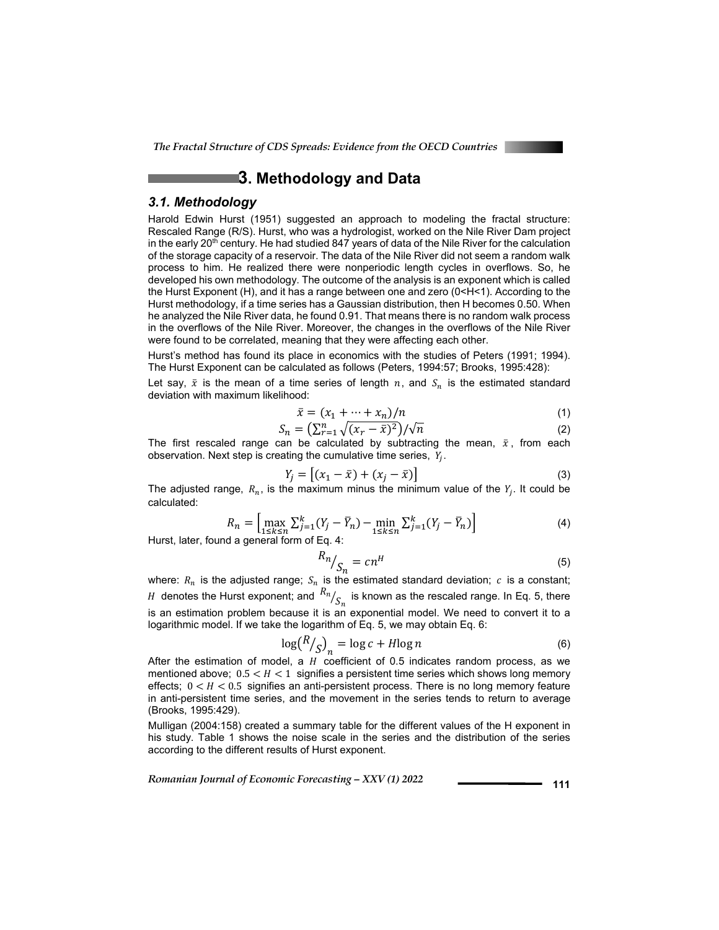

### **3. Methodology and Data**

#### *3.1. Methodology*

Harold Edwin Hurst (1951) suggested an approach to modeling the fractal structure: Rescaled Range (R/S). Hurst, who was a hydrologist, worked on the Nile River Dam project in the early 20<sup>th</sup> century. He had studied 847 years of data of the Nile River for the calculation of the storage capacity of a reservoir. The data of the Nile River did not seem a random walk process to him. He realized there were nonperiodic length cycles in overflows. So, he developed his own methodology. The outcome of the analysis is an exponent which is called the Hurst Exponent (H), and it has a range between one and zero (0<H<1). According to the Hurst methodology, if a time series has a Gaussian distribution, then H becomes 0.50. When he analyzed the Nile River data, he found 0.91. That means there is no random walk process in the overflows of the Nile River. Moreover, the changes in the overflows of the Nile River were found to be correlated, meaning that they were affecting each other.

Hurst's method has found its place in economics with the studies of Peters (1991; 1994). The Hurst Exponent can be calculated as follows (Peters, 1994:57; Brooks, 1995:428):

Let say,  $\bar{x}$  is the mean of a time series of length  $n$ , and  $S_n$  is the estimated standard deviation with maximum likelihood:

$$
\bar{x} = (x_1 + \dots + x_n)/n \tag{1}
$$

$$
S_n = \left(\sum_{r=1}^n \sqrt{(x_r - \bar{x})^2}\right) / \sqrt{n} \tag{2}
$$

The first rescaled range can be calculated by subtracting the mean,  $\bar{x}$ , from each observation. Next step is creating the cumulative time series,  $Y_i$ .

$$
Y_j = [(x_1 - \bar{x}) + (x_j - \bar{x})]
$$
 (3)

The adjusted range,  $R_n$ , is the maximum minus the minimum value of the  $Y_i$ . It could be calculated:

$$
R_n = \left[ \max_{1 \le k \le n} \sum_{j=1}^k (Y_j - \bar{Y}_n) - \min_{1 \le k \le n} \sum_{j=1}^k (Y_j - \bar{Y}_n) \right]
$$
(4)

Hurst, later, found a general form of Eq.

$$
R_n / S_n = c n^H \tag{5}
$$

where:  $R_n$  is the adjusted range;  $S_n$  is the estimated standard deviation;  $c$  is a constant;  $H$  denotes the Hurst exponent; and  $\frac{R_n}{S_n}$  is known as the rescaled range. In Eq. 5, there is an estimation problem because it is an exponential model. We need to convert it to a logarithmic model. If we take the logarithm of Eq. 5, we may obtain Eq. 6:

$$
\log\left(\frac{R}{S}\right)_n = \log c + H \log n \tag{6}
$$

After the estimation of model, a  $H$  coefficient of 0.5 indicates random process, as we mentioned above;  $0.5 < H < 1$  signifies a persistent time series which shows long memory effects;  $0 < H < 0.5$  signifies an anti-persistent process. There is no long memory feature in anti-persistent time series, and the movement in the series tends to return to average (Brooks, 1995:429).

Mulligan (2004:158) created a summary table for the different values of the H exponent in his study. Table 1 shows the noise scale in the series and the distribution of the series according to the different results of Hurst exponent.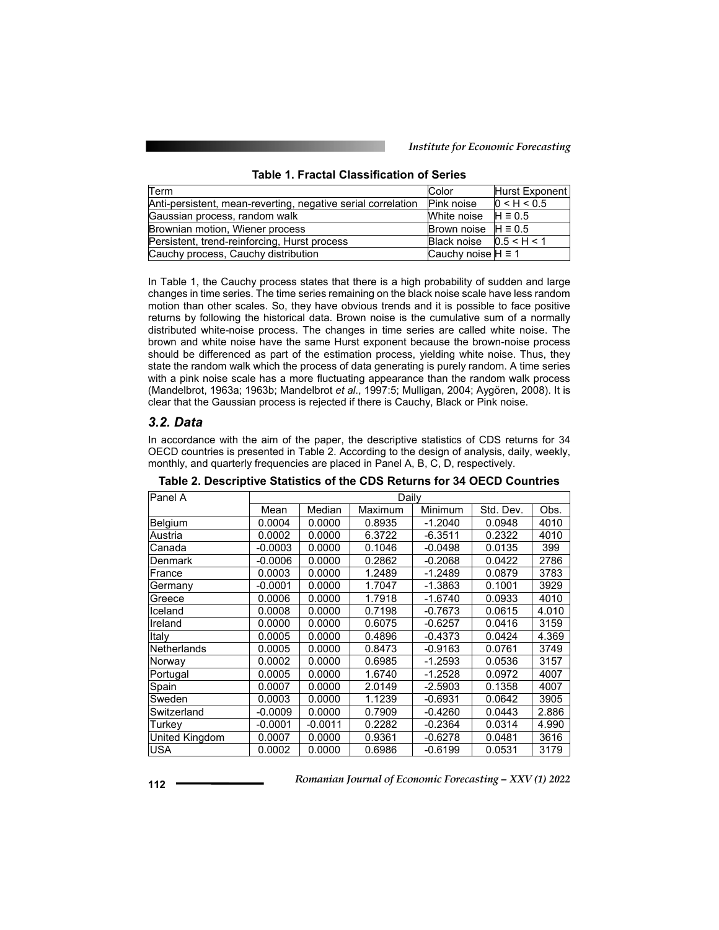| Term                                                         | Color                      | Hurst Exponent |
|--------------------------------------------------------------|----------------------------|----------------|
| Anti-persistent, mean-reverting, negative serial correlation | Pink noise                 | 0 < H < 0.5    |
| Gaussian process, random walk                                | White noise $H \equiv 0.5$ |                |
| Brownian motion, Wiener process                              | Brown noise $H \equiv 0.5$ |                |
| Persistent, trend-reinforcing, Hurst process                 | Black noise $0.5 < H < 1$  |                |
| Cauchy process, Cauchy distribution                          | Cauchy noise $H \equiv 1$  |                |

#### **Table 1. Fractal Classification of Series**

In Table 1, the Cauchy process states that there is a high probability of sudden and large changes in time series. The time series remaining on the black noise scale have less random motion than other scales. So, they have obvious trends and it is possible to face positive returns by following the historical data. Brown noise is the cumulative sum of a normally distributed white-noise process. The changes in time series are called white noise. The brown and white noise have the same Hurst exponent because the brown-noise process should be differenced as part of the estimation process, yielding white noise. Thus, they state the random walk which the process of data generating is purely random. A time series with a pink noise scale has a more fluctuating appearance than the random walk process (Mandelbrot, 1963a; 1963b; Mandelbrot *et al*., 1997:5; Mulligan, 2004; Aygören, 2008). It is clear that the Gaussian process is rejected if there is Cauchy, Black or Pink noise.

#### *3.2. Data*

In accordance with the aim of the paper, the descriptive statistics of CDS returns for 34 OECD countries is presented in Table 2. According to the design of analysis, daily, weekly, monthly, and quarterly frequencies are placed in Panel A, B, C, D, respectively.

| Panel A            | Daily     |           |         |           |           |       |
|--------------------|-----------|-----------|---------|-----------|-----------|-------|
|                    | Mean      | Median    | Maximum | Minimum   | Std. Dev. | Obs.  |
| Belgium            | 0.0004    | 0.0000    | 0.8935  | $-1.2040$ | 0.0948    | 4010  |
| Austria            | 0.0002    | 0.0000    | 6.3722  | $-6.3511$ | 0.2322    | 4010  |
| Canada             | $-0.0003$ | 0.0000    | 0.1046  | $-0.0498$ | 0.0135    | 399   |
| Denmark            | $-0.0006$ | 0.0000    | 0.2862  | $-0.2068$ | 0.0422    | 2786  |
| France             | 0.0003    | 0.0000    | 1.2489  | $-1.2489$ | 0.0879    | 3783  |
| Germany            | $-0.0001$ | 0.0000    | 1.7047  | $-1.3863$ | 0.1001    | 3929  |
| Greece             | 0.0006    | 0.0000    | 1.7918  | $-1.6740$ | 0.0933    | 4010  |
| Iceland            | 0.0008    | 0.0000    | 0.7198  | $-0.7673$ | 0.0615    | 4.010 |
| Ireland            | 0.0000    | 0.0000    | 0.6075  | $-0.6257$ | 0.0416    | 3159  |
| Italy              | 0.0005    | 0.0000    | 0.4896  | $-0.4373$ | 0.0424    | 4.369 |
| <b>Netherlands</b> | 0.0005    | 0.0000    | 0.8473  | $-0.9163$ | 0.0761    | 3749  |
| Norway             | 0.0002    | 0.0000    | 0.6985  | $-1.2593$ | 0.0536    | 3157  |
| Portugal           | 0.0005    | 0.0000    | 1.6740  | $-1.2528$ | 0.0972    | 4007  |
| Spain              | 0.0007    | 0.0000    | 2.0149  | $-2.5903$ | 0.1358    | 4007  |
| Sweden             | 0.0003    | 0.0000    | 1.1239  | $-0.6931$ | 0.0642    | 3905  |
| Switzerland        | $-0.0009$ | 0.0000    | 0.7909  | $-0.4260$ | 0.0443    | 2.886 |
| Turkev             | $-0.0001$ | $-0.0011$ | 0.2282  | $-0.2364$ | 0.0314    | 4.990 |
| United Kingdom     | 0.0007    | 0.0000    | 0.9361  | $-0.6278$ | 0.0481    | 3616  |
| <b>USA</b>         | 0.0002    | 0.0000    | 0.6986  | $-0.6199$ | 0.0531    | 3179  |

**Table 2. Descriptive Statistics of the CDS Returns for 34 OECD Countries**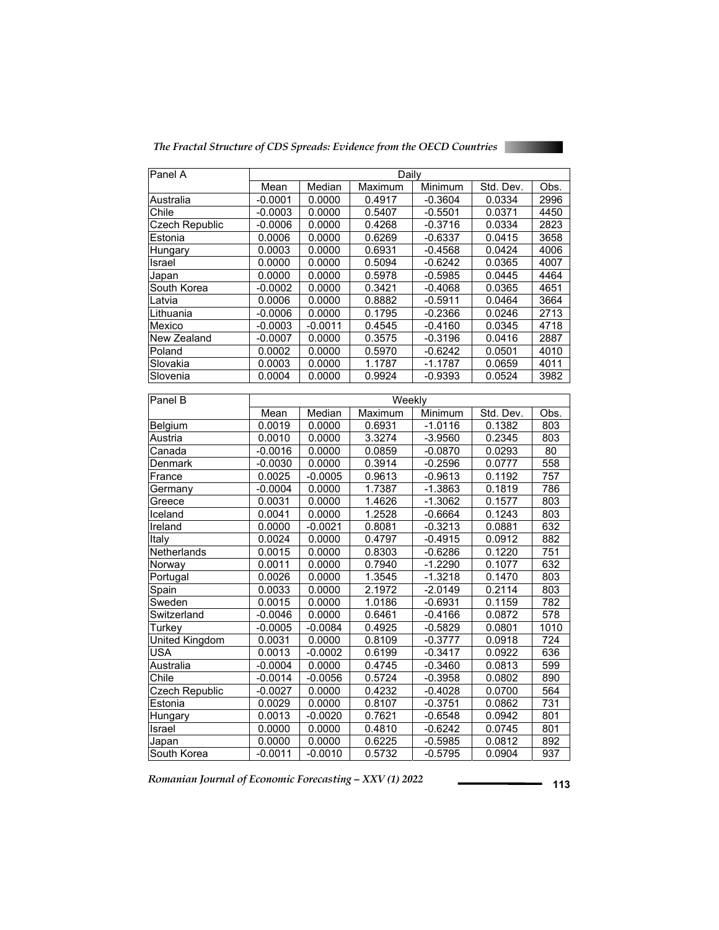*The Fractal Structure of CDS Spreads: Evidence from the OECD Countries* 



| Panel A               | Daily     |           |         |           |           |                  |
|-----------------------|-----------|-----------|---------|-----------|-----------|------------------|
|                       | Mean      | Median    | Maximum | Minimum   | Std. Dev. | Obs.             |
| Australia             | $-0.0001$ | 0.0000    | 0.4917  | $-0.3604$ | 0.0334    | 2996             |
| Chile                 | $-0.0003$ | 0.0000    | 0.5407  | $-0.5501$ | 0.0371    | 4450             |
| Czech Republic        | $-0.0006$ | 0.0000    | 0.4268  | $-0.3716$ | 0.0334    | 2823             |
| Estonia               | 0.0006    | 0.0000    | 0.6269  | $-0.6337$ | 0.0415    | 3658             |
| Hungary               | 0.0003    | 0.0000    | 0.6931  | $-0.4568$ | 0.0424    | 4006             |
| Israel                | 0.0000    | 0.0000    | 0.5094  | $-0.6242$ | 0.0365    | 4007             |
| Japan                 | 0.0000    | 0.0000    | 0.5978  | $-0.5985$ | 0.0445    | 4464             |
| South Korea           | $-0.0002$ | 0.0000    | 0.3421  | $-0.4068$ | 0.0365    | 4651             |
| Latvia                | 0.0006    | 0.0000    | 0.8882  | $-0.5911$ | 0.0464    | 3664             |
| Lithuania             | $-0.0006$ | 0.0000    | 0.1795  | $-0.2366$ | 0.0246    | 2713             |
| Mexico                | $-0.0003$ | $-0.0011$ | 0.4545  | $-0.4160$ | 0.0345    | 4718             |
| New Zealand           | $-0.0007$ | 0.0000    | 0.3575  | $-0.3196$ | 0.0416    | 2887             |
| Poland                | 0.0002    | 0.0000    | 0.5970  | $-0.6242$ | 0.0501    | 4010             |
| Slovakia              | 0.0003    | 0.0000    | 1.1787  | $-1.1787$ | 0.0659    | 4011             |
| Slovenia              | 0.0004    | 0.0000    | 0.9924  | $-0.9393$ | 0.0524    | 3982             |
|                       |           |           |         |           |           |                  |
| Panel B               |           | Weekly    |         |           |           |                  |
|                       | Mean      | Median    | Maximum | Minimum   | Std. Dev. | Obs.             |
| Belgium               | 0.0019    | 0.0000    | 0.6931  | $-1.0116$ | 0.1382    | 803              |
| Austria               | 0.0010    | 0.0000    | 3.3274  | $-3.9560$ | 0.2345    | 803              |
| Canada                | $-0.0016$ | 0.0000    | 0.0859  | $-0.0870$ | 0.0293    | $\overline{80}$  |
| Denmark               | $-0.0030$ | 0.0000    | 0.3914  | $-0.2596$ | 0.0777    | 558              |
| France                | 0.0025    | $-0.0005$ | 0.9613  | $-0.9613$ | 0.1192    | 757              |
| Germany               | $-0.0004$ | 0.0000    | 1.7387  | $-1.3863$ | 0.1819    | 786              |
| Greece                | 0.0031    | 0.0000    | 1.4626  | $-1.3062$ | 0.1577    | 803              |
| Iceland               | 0.0041    | 0.0000    | 1.2528  | $-0.6664$ | 0.1243    | 803              |
| Ireland               | 0.0000    | $-0.0021$ | 0.8081  | $-0.3213$ | 0.0881    | 632              |
| Italy                 | 0.0024    | 0.0000    | 0.4797  | $-0.4915$ | 0.0912    | 882              |
| Netherlands           | 0.0015    | 0.0000    | 0.8303  | $-0.6286$ | 0.1220    | $\overline{751}$ |
| Norway                | 0.0011    | 0.0000    | 0.7940  | $-1.2290$ | 0.1077    | 632              |
| Portugal              | 0.0026    | 0.0000    | 1.3545  | $-1.3218$ | 0.1470    | 803              |
| Spain                 | 0.0033    | 0.0000    | 2.1972  | $-2.0149$ | 0.2114    | 803              |
| Sweden                | 0.0015    | 0.0000    | 1.0186  | $-0.6931$ | 0.1159    | 782              |
| Switzerland           | $-0.0046$ | 0.0000    | 0.6461  | $-0.4166$ | 0.0872    | $\overline{578}$ |
| Turkey                | $-0.0005$ | $-0.0084$ | 0.4925  | $-0.5829$ | 0.0801    | 1010             |
| <b>United Kingdom</b> | 0.0031    | 0.0000    | 0.8109  | $-0.3777$ | 0.0918    | $\overline{724}$ |
| <b>USA</b>            | 0.0013    | $-0.0002$ | 0.6199  | $-0.3417$ | 0.0922    | 636              |
| Australia             | $-0.0004$ | 0.0000    | 0.4745  | $-0.3460$ | 0.0813    | 599              |
| Chile                 | $-0.0014$ | $-0.0056$ | 0.5724  | $-0.3958$ | 0.0802    | 890              |
| Czech Republic        | $-0.0027$ | 0.0000    | 0.4232  | $-0.4028$ | 0.0700    | 564              |
| Estonia               | 0.0029    | 0.0000    | 0.8107  | $-0.3751$ | 0.0862    | 731              |
| Hungary               | 0.0013    | $-0.0020$ | 0.7621  | $-0.6548$ | 0.0942    | 801              |
| Israel                | 0.0000    | 0.0000    | 0.4810  | $-0.6242$ | 0.0745    | 801              |

Japan | 0.0000 | 0.0000 | 0.6225 | -0.5985 | 0.0812 | 892 South Korea | -0.0011 | -0.0010 | 0.5732 | -0.5795 | 0.0904 | 937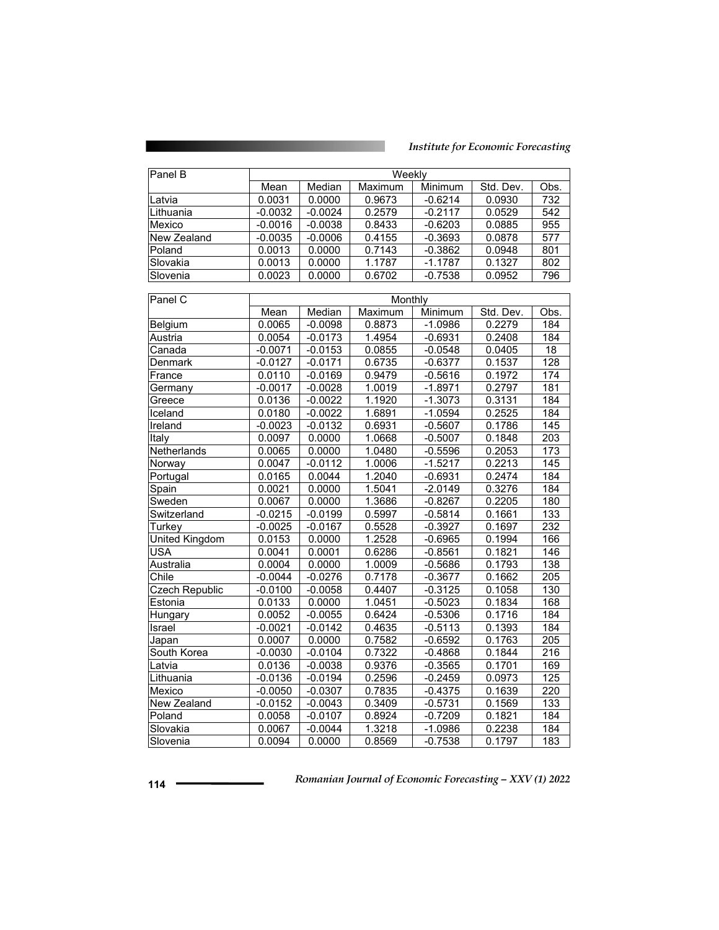### *Institute for Economic Forecasting*

| Panel B               | Weekly                                            |           |         |           |           |                  |
|-----------------------|---------------------------------------------------|-----------|---------|-----------|-----------|------------------|
|                       | Mean<br>Median<br>Minimum<br>Maximum<br>Std. Dev. |           |         |           | Obs.      |                  |
| Latvia                | 0.0031                                            | 0.0000    | 0.9673  | $-0.6214$ | 0.0930    | 732              |
| Lithuania             | $-0.0032$                                         | $-0.0024$ | 0.2579  | $-0.2117$ | 0.0529    | $\overline{542}$ |
| Mexico                | $-0.0016$                                         | $-0.0038$ | 0.8433  | $-0.6203$ | 0.0885    | 955              |
| New Zealand           | $-0.0035$                                         | $-0.0006$ | 0.4155  | $-0.3693$ | 0.0878    | $\overline{577}$ |
|                       |                                                   |           |         |           |           |                  |
| Poland                | 0.0013                                            | 0.0000    | 0.7143  | $-0.3862$ | 0.0948    | 801              |
| Slovakia              | 0.0013                                            | 0.0000    | 1.1787  | $-1.1787$ | 0.1327    | 802              |
| Slovenia              | 0.0023                                            | 0.0000    | 0.6702  | $-0.7538$ | 0.0952    | 796              |
|                       |                                                   |           |         |           |           |                  |
| Panel C               |                                                   |           | Monthly |           |           |                  |
|                       | Mean                                              | Median    | Maximum | Minimum   | Std. Dev. | Obs.             |
| Belgium               | 0.0065                                            | $-0.0098$ | 0.8873  | $-1.0986$ | 0.2279    | 184              |
| Austria               | 0.0054                                            | $-0.0173$ | 1.4954  | $-0.6931$ | 0.2408    | 184              |
| Canada                | $-0.0071$                                         | $-0.0153$ | 0.0855  | $-0.0548$ | 0.0405    | 18               |
| Denmark               | $-0.0127$                                         | $-0.0171$ | 0.6735  | $-0.6377$ | 0.1537    | $\overline{128}$ |
| France                | 0.0110                                            | $-0.0169$ | 0.9479  | $-0.5616$ | 0.1972    | 174              |
| Germany               | $-0.0017$                                         | $-0.0028$ | 1.0019  | $-1.8971$ | 0.2797    | 181              |
| Greece                | 0.0136                                            | $-0.0022$ | 1.1920  | $-1.3073$ | 0.3131    | 184              |
| Iceland               | 0.0180                                            | $-0.0022$ | 1.6891  | $-1.0594$ | 0.2525    | 184              |
| Ireland               | $-0.0023$                                         | $-0.0132$ | 0.6931  | $-0.5607$ | 0.1786    | 145              |
| Italy                 | 0.0097                                            | 0.0000    | 1.0668  | $-0.5007$ | 0.1848    | 203              |
| Netherlands           | 0.0065                                            | 0.0000    | 1.0480  | $-0.5596$ | 0.2053    | 173              |
| Norway                | 0.0047                                            | $-0.0112$ | 1.0006  | $-1.5217$ | 0.2213    | 145              |
| Portugal              | 0.0165                                            | 0.0044    | 1.2040  | $-0.6931$ | 0.2474    | 184              |
| Spain                 | 0.0021                                            | 0.0000    | 1.5041  | $-2.0149$ | 0.3276    | 184              |
| Sweden                | 0.0067                                            | 0.0000    | 1.3686  | $-0.8267$ | 0.2205    | 180              |
| Switzerland           | $-0.0215$                                         | $-0.0199$ | 0.5997  | $-0.5814$ | 0.1661    | 133              |
| Turkey                | $-0.0025$                                         | $-0.0167$ | 0.5528  | $-0.3927$ | 0.1697    | 232              |
| <b>United Kingdom</b> | 0.0153                                            | 0.0000    | 1.2528  | $-0.6965$ | 0.1994    | 166              |
| USA                   | 0.0041                                            | 0.0001    | 0.6286  | $-0.8561$ | 0.1821    | 146              |
| Australia             | 0.0004                                            | 0.0000    | 1.0009  | $-0.5686$ | 0.1793    | 138              |
| Chile                 | $-0.0044$                                         | $-0.0276$ | 0.7178  | $-0.3677$ | 0.1662    | 205              |
| <b>Czech Republic</b> | $-0.0100$                                         | $-0.0058$ | 0.4407  | $-0.3125$ | 0.1058    | 130              |
| Estonia               | 0.0133                                            | 0.0000    | 1.0451  | $-0.5023$ | 0.1834    | 168              |
| Hungary               | 0.0052                                            | $-0.0055$ | 0.6424  | $-0.5306$ | 0.1716    | 184              |
| Israel                | $-0.0021$                                         | $-0.0142$ | 0.4635  | $-0.5113$ | 0.1393    | 184              |
| Japan                 | 0.0007                                            | 0.0000    | 0.7582  | $-0.6592$ | 0.1763    | 205              |
| South Korea           | $-0.0030$                                         | $-0.0104$ | 0.7322  | $-0.4868$ | 0.1844    | 216              |
| Latvia                | 0.0136                                            | $-0.0038$ | 0.9376  | $-0.3565$ | 0.1701    | 169              |
| Lithuania             | $-0.0136$                                         | $-0.0194$ | 0.2596  | $-0.2459$ | 0.0973    | 125              |
| Mexico                | $-0.0050$                                         | $-0.0307$ | 0.7835  | $-0.4375$ | 0.1639    | 220              |
| New Zealand           | $-0.0152$                                         | $-0.0043$ | 0.3409  | $-0.5731$ | 0.1569    | 133              |
| Poland                | 0.0058                                            | $-0.0107$ | 0.8924  | $-0.7209$ | 0.1821    | 184              |
| Slovakia              | 0.0067                                            | $-0.0044$ | 1.3218  | $-1.0986$ | 0.2238    | 184              |
| Slovenia              | 0.0094                                            | 0.0000    | 0.8569  | $-0.7538$ | 0.1797    | 183              |
|                       |                                                   |           |         |           |           |                  |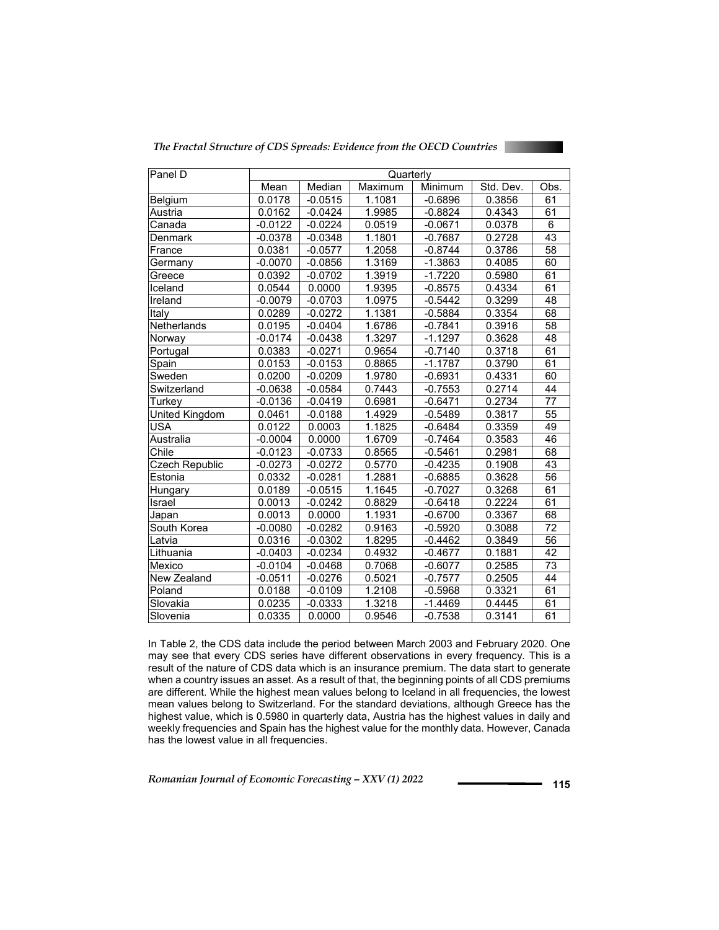*The Fractal Structure of CDS Spreads: Evidence from the OECD Countries* 



| Panel D        | Quarterly |           |                     |           |           |                 |
|----------------|-----------|-----------|---------------------|-----------|-----------|-----------------|
|                | Mean      | Median    | Maximum             | Minimum   | Std. Dev. | Obs.            |
| Belgium        | 0.0178    | $-0.0515$ | 1.1081              | $-0.6896$ | 0.3856    | 61              |
| Austria        | 0.0162    | $-0.0424$ | 1.9985              | $-0.8824$ | 0.4343    | 61              |
| Canada         | $-0.0122$ | $-0.0224$ | 0.0519              | $-0.0671$ | 0.0378    | 6               |
| Denmark        | $-0.0378$ | $-0.0348$ | 1.1801              | $-0.7687$ | 0.2728    | 43              |
| France         | 0.0381    | $-0.0577$ | 1.2058              | $-0.8744$ | 0.3786    | $\overline{58}$ |
| Germany        | $-0.0070$ | $-0.0856$ | 1.3169              | $-1.3863$ | 0.4085    | 60              |
| Greece         | 0.0392    | $-0.0702$ | 1.3919              | $-1.7220$ | 0.5980    | 61              |
| Iceland        | 0.0544    | 0.0000    | 1.9395              | $-0.8575$ | 0.4334    | 61              |
| Ireland        | $-0.0079$ | $-0.0703$ | 1.0975              | $-0.5442$ | 0.3299    | 48              |
| Italy          | 0.0289    | $-0.0272$ | 1.1381              | $-0.5884$ | 0.3354    | 68              |
| Netherlands    | 0.0195    | $-0.0404$ | 1.6786              | $-0.7841$ | 0.3916    | 58              |
| Norway         | $-0.0174$ | $-0.0438$ | 1.3297              | $-1.1297$ | 0.3628    | 48              |
| Portugal       | 0.0383    | $-0.0271$ | 0.9654              | $-0.7140$ | 0.3718    | 61              |
| Spain          | 0.0153    | $-0.0153$ | 0.8865              | $-1.1787$ | 0.3790    | 61              |
| Sweden         | 0.0200    | $-0.0209$ | 1.9780              | $-0.6931$ | 0.4331    | 60              |
| Switzerland    | $-0.0638$ | $-0.0584$ | 0.7443              | $-0.7553$ | 0.2714    | 44              |
| Turkey         | $-0.0136$ | $-0.0419$ | 0.6981              | $-0.6471$ | 0.2734    | $\overline{77}$ |
| United Kingdom | 0.0461    | $-0.0188$ | 1.4929              | $-0.5489$ | 0.3817    | 55              |
| <b>USA</b>     | 0.0122    | 0.0003    | 1.1825              | $-0.6484$ | 0.3359    | 49              |
| Australia      | $-0.0004$ | 0.0000    | 1.6709              | $-0.7464$ | 0.3583    | 46              |
| Chile          | $-0.0123$ | $-0.0733$ | 0.8565              | $-0.5461$ | 0.2981    | 68              |
| Czech Republic | $-0.0273$ | $-0.0272$ | 0.5770              | $-0.4235$ | 0.1908    | 43              |
| Estonia        | 0.0332    | $-0.0281$ | 1.2881              | $-0.6885$ | 0.3628    | $\overline{56}$ |
| Hungary        | 0.0189    | $-0.0515$ | 1.1645              | $-0.7027$ | 0.3268    | 61              |
| Israel         | 0.0013    | $-0.0242$ | 0.8829              | $-0.6418$ | 0.2224    | 61              |
| Japan          | 0.0013    | 0.0000    | 1.1931              | $-0.6700$ | 0.3367    | 68              |
| South Korea    | $-0.0080$ | $-0.0282$ | 0.9163              | $-0.5920$ | 0.3088    | 72              |
| Latvia         | 0.0316    | $-0.0302$ | 1.8295              | $-0.4462$ | 0.3849    | 56              |
| Lithuania      | $-0.0403$ | $-0.0234$ | 0.4932              | $-0.4677$ | 0.1881    | 42              |
| Mexico         | $-0.0104$ | $-0.0468$ | 0.7068              | $-0.6077$ | 0.2585    | 73              |
| New Zealand    | $-0.0511$ | $-0.0276$ | 0.5021              | $-0.7577$ | 0.2505    | 44              |
| Poland         | 0.0188    | $-0.0109$ | $\overline{1.2108}$ | $-0.5968$ | 0.3321    | 61              |
| Slovakia       | 0.0235    | $-0.0333$ | 1.3218              | $-1.4469$ | 0.4445    | 61              |
| Slovenia       | 0.0335    | 0.0000    | 0.9546              | $-0.7538$ | 0.3141    | 61              |

In Table 2, the CDS data include the period between March 2003 and February 2020. One may see that every CDS series have different observations in every frequency. This is a result of the nature of CDS data which is an insurance premium. The data start to generate when a country issues an asset. As a result of that, the beginning points of all CDS premiums are different. While the highest mean values belong to Iceland in all frequencies, the lowest mean values belong to Switzerland. For the standard deviations, although Greece has the highest value, which is 0.5980 in quarterly data, Austria has the highest values in daily and weekly frequencies and Spain has the highest value for the monthly data. However, Canada has the lowest value in all frequencies.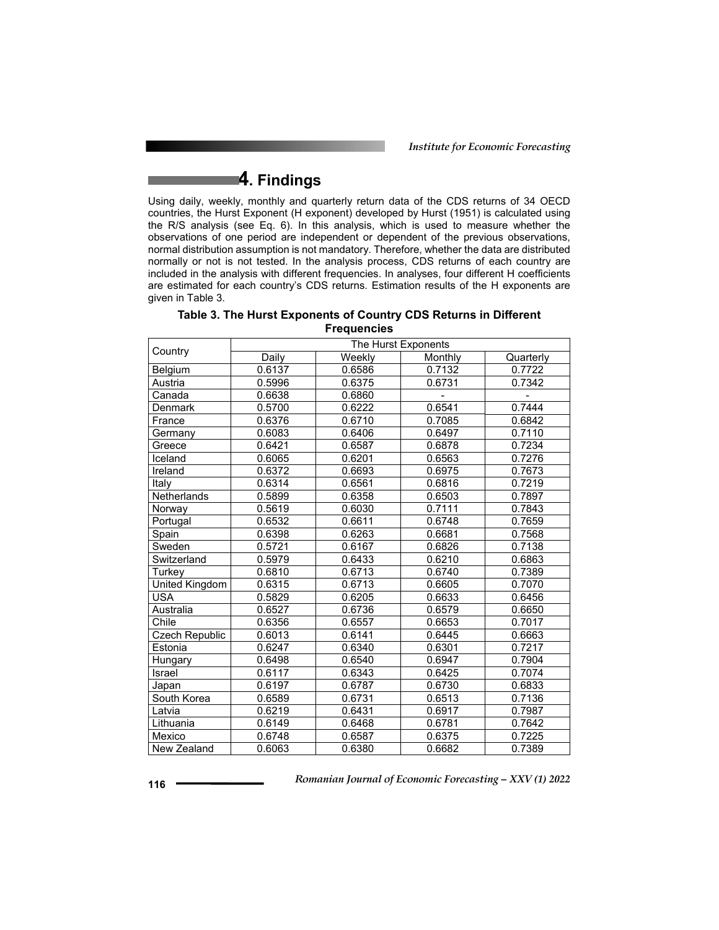*Institute for Economic Forecasting*

# **4. Findings**

Using daily, weekly, monthly and quarterly return data of the CDS returns of 34 OECD countries, the Hurst Exponent (H exponent) developed by Hurst (1951) is calculated using the R/S analysis (see Eq. 6). In this analysis, which is used to measure whether the observations of one period are independent or dependent of the previous observations, normal distribution assumption is not mandatory. Therefore, whether the data are distributed normally or not is not tested. In the analysis process, CDS returns of each country are included in the analysis with different frequencies. In analyses, four different H coefficients are estimated for each country's CDS returns. Estimation results of the H exponents are given in Table 3.

|                | The Hurst Exponents |        |         |           |  |  |  |
|----------------|---------------------|--------|---------|-----------|--|--|--|
| Country        | Daily               | Weekly | Monthly | Quarterly |  |  |  |
| Belgium        | 0.6137              | 0.6586 | 0.7132  | 0.7722    |  |  |  |
| Austria        | 0.5996              | 0.6375 | 0.6731  | 0.7342    |  |  |  |
| Canada         | 0.6638              | 0.6860 |         |           |  |  |  |
| Denmark        | 0.5700              | 0.6222 | 0.6541  | 0.7444    |  |  |  |
| France         | 0.6376              | 0.6710 | 0.7085  | 0.6842    |  |  |  |
| Germany        | 0.6083              | 0.6406 | 0.6497  | 0.7110    |  |  |  |
| Greece         | 0.6421              | 0.6587 | 0.6878  | 0.7234    |  |  |  |
| Iceland        | 0.6065              | 0.6201 | 0.6563  | 0.7276    |  |  |  |
| Ireland        | 0.6372              | 0.6693 | 0.6975  | 0.7673    |  |  |  |
| Italy          | 0.6314              | 0.6561 | 0.6816  | 0.7219    |  |  |  |
| Netherlands    | 0.5899              | 0.6358 | 0.6503  | 0.7897    |  |  |  |
| Norway         | 0.5619              | 0.6030 | 0.7111  | 0.7843    |  |  |  |
| Portugal       | 0.6532              | 0.6611 | 0.6748  | 0.7659    |  |  |  |
| Spain          | 0.6398              | 0.6263 | 0.6681  | 0.7568    |  |  |  |
| Sweden         | 0.5721              | 0.6167 | 0.6826  | 0.7138    |  |  |  |
| Switzerland    | 0.5979              | 0.6433 | 0.6210  | 0.6863    |  |  |  |
| Turkey         | 0.6810              | 0.6713 | 0.6740  | 0.7389    |  |  |  |
| United Kingdom | 0.6315              | 0.6713 | 0.6605  | 0.7070    |  |  |  |
| <b>USA</b>     | 0.5829              | 0.6205 | 0.6633  | 0.6456    |  |  |  |
| Australia      | 0.6527              | 0.6736 | 0.6579  | 0.6650    |  |  |  |
| Chile          | 0.6356              | 0.6557 | 0.6653  | 0.7017    |  |  |  |
| Czech Republic | 0.6013              | 0.6141 | 0.6445  | 0.6663    |  |  |  |
| Estonia        | 0.6247              | 0.6340 | 0.6301  | 0.7217    |  |  |  |
| Hungary        | 0.6498              | 0.6540 | 0.6947  | 0.7904    |  |  |  |
| Israel         | 0.6117              | 0.6343 | 0.6425  | 0.7074    |  |  |  |
| Japan          | 0.6197              | 0.6787 | 0.6730  | 0.6833    |  |  |  |
| South Korea    | 0.6589              | 0.6731 | 0.6513  | 0.7136    |  |  |  |
| Latvia         | 0.6219              | 0.6431 | 0.6917  | 0.7987    |  |  |  |
| Lithuania      | 0.6149              | 0.6468 | 0.6781  | 0.7642    |  |  |  |
| Mexico         | 0.6748              | 0.6587 | 0.6375  | 0.7225    |  |  |  |
| New Zealand    | 0.6063              | 0.6380 | 0.6682  | 0.7389    |  |  |  |

| Table 3. The Hurst Exponents of Country CDS Returns in Different |
|------------------------------------------------------------------|
| <b>Frequencies</b>                                               |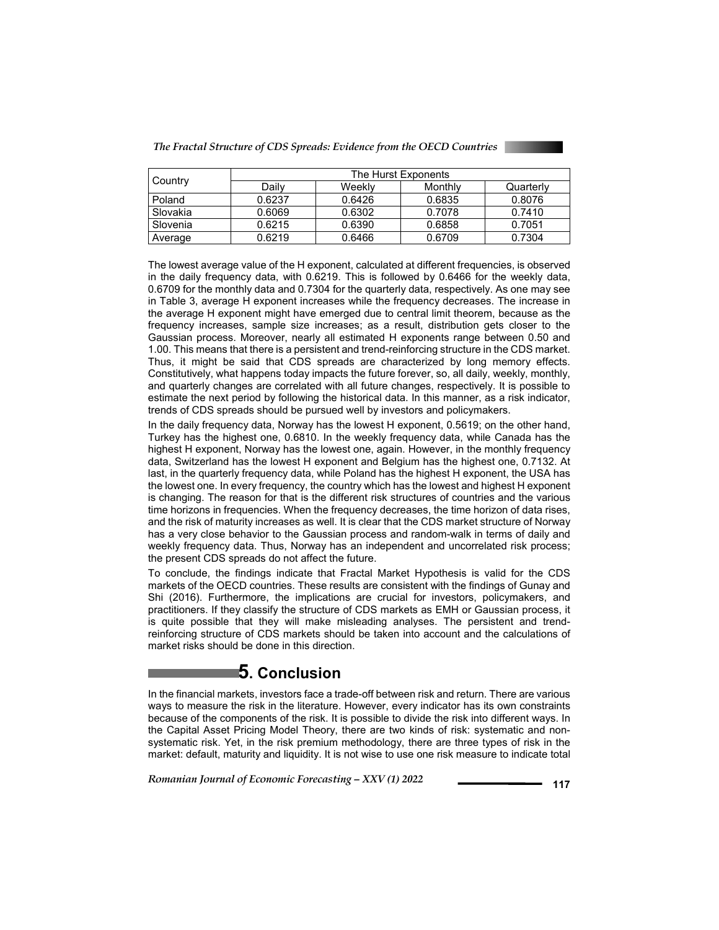

|          | The Hurst Exponents |        |         |           |  |  |
|----------|---------------------|--------|---------|-----------|--|--|
| Country  | Dailv               | Weekly | Monthly | Quarterly |  |  |
| Poland   | 0.6237              | 0.6426 | 0.6835  | 0.8076    |  |  |
| Slovakia | 0.6069              | 0.6302 | 0.7078  | 0.7410    |  |  |
| Slovenia | 0.6215              | 0.6390 | 0.6858  | 0.7051    |  |  |
| Average  | 0.6219              | 0.6466 | 0.6709  | 0.7304    |  |  |

The lowest average value of the H exponent, calculated at different frequencies, is observed in the daily frequency data, with 0.6219. This is followed by 0.6466 for the weekly data, 0.6709 for the monthly data and 0.7304 for the quarterly data, respectively. As one may see in Table 3, average H exponent increases while the frequency decreases. The increase in the average H exponent might have emerged due to central limit theorem, because as the frequency increases, sample size increases; as a result, distribution gets closer to the Gaussian process. Moreover, nearly all estimated H exponents range between 0.50 and 1.00. This means that there is a persistent and trend-reinforcing structure in the CDS market. Thus, it might be said that CDS spreads are characterized by long memory effects. Constitutively, what happens today impacts the future forever, so, all daily, weekly, monthly, and quarterly changes are correlated with all future changes, respectively. It is possible to estimate the next period by following the historical data. In this manner, as a risk indicator, trends of CDS spreads should be pursued well by investors and policymakers.

In the daily frequency data, Norway has the lowest H exponent, 0.5619; on the other hand, Turkey has the highest one, 0.6810. In the weekly frequency data, while Canada has the highest H exponent, Norway has the lowest one, again. However, in the monthly frequency data, Switzerland has the lowest H exponent and Belgium has the highest one, 0.7132. At last, in the quarterly frequency data, while Poland has the highest H exponent, the USA has the lowest one. In every frequency, the country which has the lowest and highest H exponent is changing. The reason for that is the different risk structures of countries and the various time horizons in frequencies. When the frequency decreases, the time horizon of data rises, and the risk of maturity increases as well. It is clear that the CDS market structure of Norway has a very close behavior to the Gaussian process and random-walk in terms of daily and weekly frequency data. Thus, Norway has an independent and uncorrelated risk process; the present CDS spreads do not affect the future.

To conclude, the findings indicate that Fractal Market Hypothesis is valid for the CDS markets of the OECD countries. These results are consistent with the findings of Gunay and Shi (2016). Furthermore, the implications are crucial for investors, policymakers, and practitioners. If they classify the structure of CDS markets as EMH or Gaussian process, it is quite possible that they will make misleading analyses. The persistent and trendreinforcing structure of CDS markets should be taken into account and the calculations of market risks should be done in this direction.

## **5. Conclusion**

In the financial markets, investors face a trade-off between risk and return. There are various ways to measure the risk in the literature. However, every indicator has its own constraints because of the components of the risk. It is possible to divide the risk into different ways. In the Capital Asset Pricing Model Theory, there are two kinds of risk: systematic and nonsystematic risk. Yet, in the risk premium methodology, there are three types of risk in the market: default, maturity and liquidity. It is not wise to use one risk measure to indicate total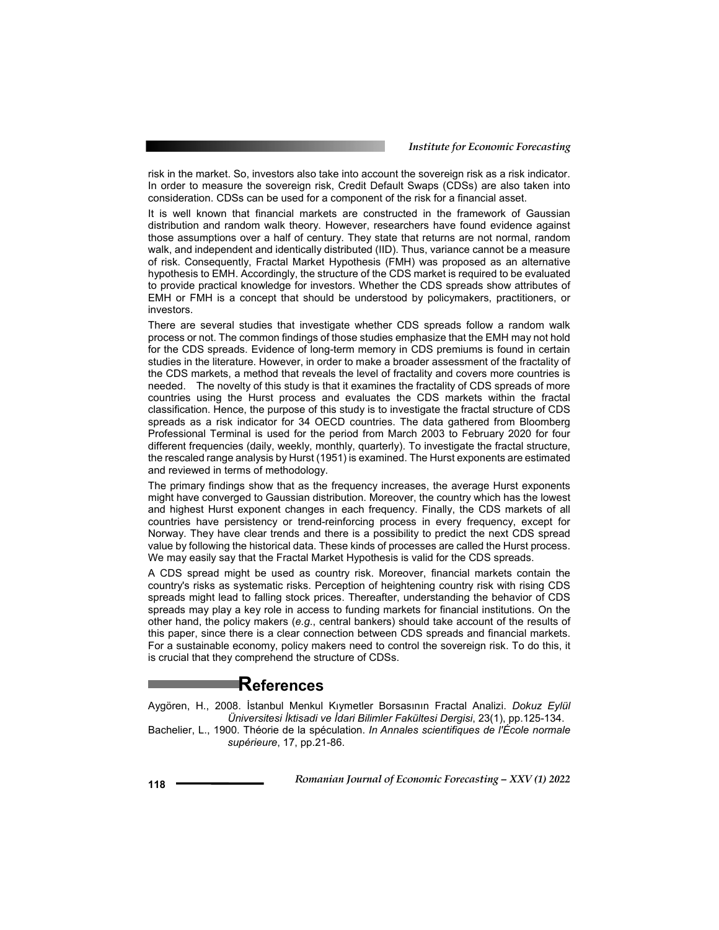risk in the market. So, investors also take into account the sovereign risk as a risk indicator. In order to measure the sovereign risk, Credit Default Swaps (CDSs) are also taken into consideration. CDSs can be used for a component of the risk for a financial asset.

It is well known that financial markets are constructed in the framework of Gaussian distribution and random walk theory. However, researchers have found evidence against those assumptions over a half of century. They state that returns are not normal, random walk, and independent and identically distributed (IID). Thus, variance cannot be a measure of risk. Consequently, Fractal Market Hypothesis (FMH) was proposed as an alternative hypothesis to EMH. Accordingly, the structure of the CDS market is required to be evaluated to provide practical knowledge for investors. Whether the CDS spreads show attributes of EMH or FMH is a concept that should be understood by policymakers, practitioners, or investors.

There are several studies that investigate whether CDS spreads follow a random walk process or not. The common findings of those studies emphasize that the EMH may not hold for the CDS spreads. Evidence of long-term memory in CDS premiums is found in certain studies in the literature. However, in order to make a broader assessment of the fractality of the CDS markets, a method that reveals the level of fractality and covers more countries is needed. The novelty of this study is that it examines the fractality of CDS spreads of more countries using the Hurst process and evaluates the CDS markets within the fractal classification. Hence, the purpose of this study is to investigate the fractal structure of CDS spreads as a risk indicator for 34 OECD countries. The data gathered from Bloomberg Professional Terminal is used for the period from March 2003 to February 2020 for four different frequencies (daily, weekly, monthly, quarterly). To investigate the fractal structure, the rescaled range analysis by Hurst (1951) is examined. The Hurst exponents are estimated and reviewed in terms of methodology.

The primary findings show that as the frequency increases, the average Hurst exponents might have converged to Gaussian distribution. Moreover, the country which has the lowest and highest Hurst exponent changes in each frequency. Finally, the CDS markets of all countries have persistency or trend-reinforcing process in every frequency, except for Norway. They have clear trends and there is a possibility to predict the next CDS spread value by following the historical data. These kinds of processes are called the Hurst process. We may easily say that the Fractal Market Hypothesis is valid for the CDS spreads.

A CDS spread might be used as country risk. Moreover, financial markets contain the country's risks as systematic risks. Perception of heightening country risk with rising CDS spreads might lead to falling stock prices. Thereafter, understanding the behavior of CDS spreads may play a key role in access to funding markets for financial institutions. On the other hand, the policy makers (*e.g*., central bankers) should take account of the results of this paper, since there is a clear connection between CDS spreads and financial markets. For a sustainable economy, policy makers need to control the sovereign risk. To do this, it is crucial that they comprehend the structure of CDSs.

# **References**

Aygören, H., 2008. İstanbul Menkul Kıymetler Borsasının Fractal Analizi. *Dokuz Eylül Üniversitesi İktisadi ve İdari Bilimler Fakültesi Dergisi*, 23(1), pp.125-134.

Bachelier, L., 1900. Théorie de la spéculation. *In Annales scientifiques de l'École normale supérieure*, 17, pp.21-86.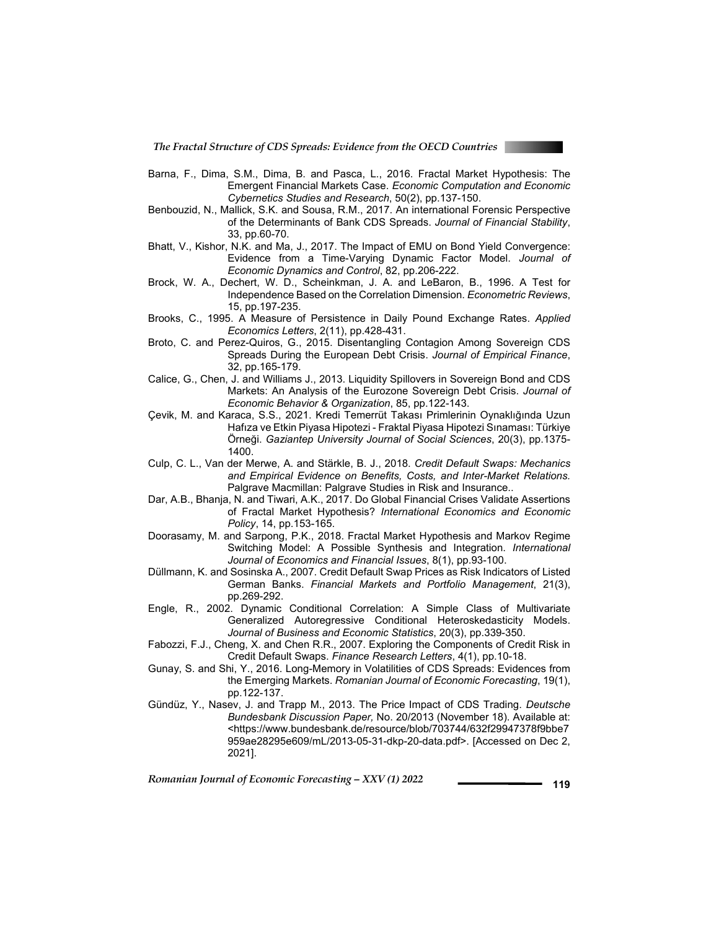

- Barna, F., Dima, S.M., Dima, B. and Pasca, L., 2016. Fractal Market Hypothesis: The Emergent Financial Markets Case. *Economic Computation and Economic Cybernetics Studies and Research*, 50(2), pp.137-150.
- Benbouzid, N., Mallick, S.K. and Sousa, R.M., 2017. An international Forensic Perspective of the Determinants of Bank CDS Spreads. *Journal of Financial Stability*, 33, pp.60-70.
- Bhatt, V., Kishor, N.K. and Ma, J., 2017. The Impact of EMU on Bond Yield Convergence: Evidence from a Time-Varying Dynamic Factor Model. *Journal of Economic Dynamics and Control*, 82, pp.206-222.
- Brock, W. A., Dechert, W. D., Scheinkman, J. A. and LeBaron, B., 1996. A Test for Independence Based on the Correlation Dimension. *Econometric Reviews*, 15, pp.197-235.
- Brooks, C., 1995. A Measure of Persistence in Daily Pound Exchange Rates. *Applied Economics Letters*, 2(11), pp.428-431.
- Broto, C. and Perez-Quiros, G., 2015. Disentangling Contagion Among Sovereign CDS Spreads During the European Debt Crisis. *Journal of Empirical Finance*, 32, pp.165-179.
- Calice, G., Chen, J. and Williams J., 2013. Liquidity Spillovers in Sovereign Bond and CDS Markets: An Analysis of the Eurozone Sovereign Debt Crisis. *Journal of Economic Behavior & Organization*, 85, pp.122-143.
- Çevik, M. and Karaca, S.S., 2021. Kredi Temerrüt Takası Primlerinin Oynaklığında Uzun Hafıza ve Etkin Piyasa Hipotezi - Fraktal Piyasa Hipotezi Sınaması: Türkiye Örneği. *Gaziantep University Journal of Social Sciences*, 20(3), pp.1375- 1400.
- Culp, C. L., Van der Merwe, A. and Stärkle, B. J., 2018. *Credit Default Swaps: Mechanics and Empirical Evidence on Benefits, Costs, and Inter-Market Relations.*  Palgrave Macmillan: Palgrave Studies in Risk and Insurance..
- Dar, A.B., Bhanja, N. and Tiwari, A.K., 2017. Do Global Financial Crises Validate Assertions of Fractal Market Hypothesis? *International Economics and Economic Policy*, 14, pp.153-165.
- Doorasamy, M. and Sarpong, P.K., 2018. Fractal Market Hypothesis and Markov Regime Switching Model: A Possible Synthesis and Integration. *International Journal of Economics and Financial Issues*, 8(1), pp.93-100.
- Düllmann, K. and Sosinska A., 2007. Credit Default Swap Prices as Risk Indicators of Listed German Banks. *Financial Markets and Portfolio Management*, 21(3), pp.269-292.
- Engle, R., 2002. Dynamic Conditional Correlation: A Simple Class of Multivariate Generalized Autoregressive Conditional Heteroskedasticity Models. *Journal of Business and Economic Statistics*, 20(3), pp.339-350.
- Fabozzi, F.J., Cheng, X. and Chen R.R., 2007. Exploring the Components of Credit Risk in Credit Default Swaps. *Finance Research Letters*, 4(1), pp.10-18.
- Gunay, S. and Shi, Y., 2016. Long-Memory in Volatilities of CDS Spreads: Evidences from the Emerging Markets. *Romanian Journal of Economic Forecasting*, 19(1), pp.122-137.
- Gündüz, Y., Nasev, J. and Trapp M., 2013. The Price Impact of CDS Trading. *Deutsche Bundesbank Discussion Paper,* No. 20/2013 (November 18). Available at: <https://www.bundesbank.de/resource/blob/703744/632f29947378f9bbe7 959ae28295e609/mL/2013-05-31-dkp-20-data.pdf>. [Accessed on Dec 2, 2021].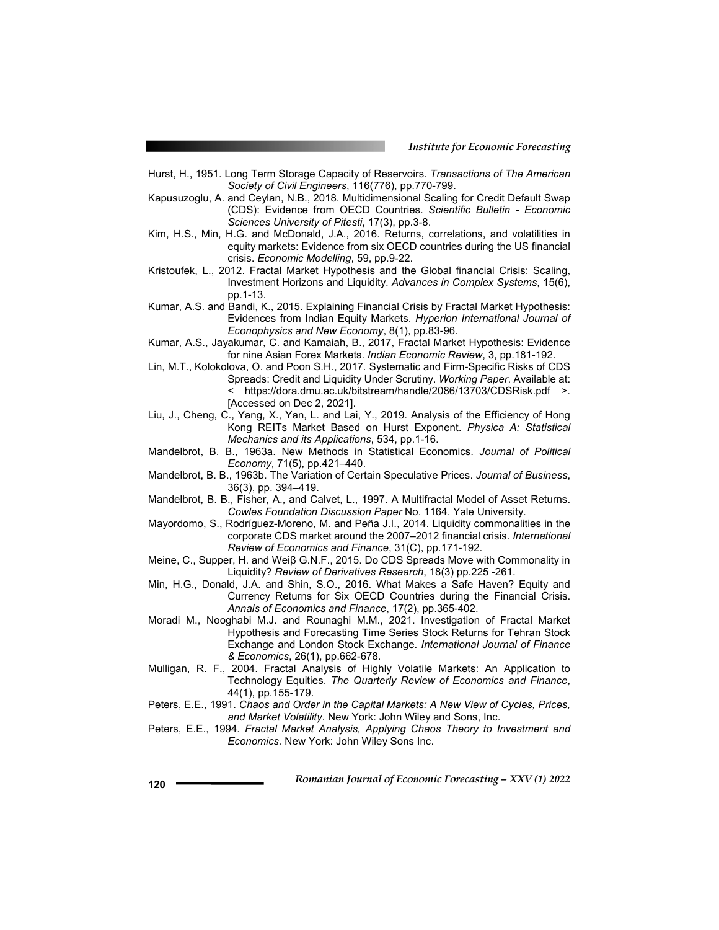- Hurst, H., 1951. Long Term Storage Capacity of Reservoirs. *Transactions of The American Society of Civil Engineers*, 116(776), pp.770-799.
- Kapusuzoglu, A. and Ceylan, N.B., 2018. Multidimensional Scaling for Credit Default Swap (CDS): Evidence from OECD Countries. *Scientific Bulletin - Economic Sciences University of Pitesti*, 17(3), pp.3-8.
- Kim, H.S., Min, H.G. and McDonald, J.A., 2016. Returns, correlations, and volatilities in equity markets: Evidence from six OECD countries during the US financial crisis. *Economic Modelling*, 59, pp.9-22.
- Kristoufek, L., 2012. Fractal Market Hypothesis and the Global financial Crisis: Scaling, Investment Horizons and Liquidity. *Advances in Complex Systems*, 15(6), pp.1-13.
- Kumar, A.S. and Bandi, K., 2015. Explaining Financial Crisis by Fractal Market Hypothesis: Evidences from Indian Equity Markets. *Hyperion International Journal of Econophysics and New Economy*, 8(1), pp.83-96.
- Kumar, A.S., Jayakumar, C. and Kamaiah, B., 2017, Fractal Market Hypothesis: Evidence for nine Asian Forex Markets. *Indian Economic Review*, 3, pp.181-192.
- Lin, M.T., Kolokolova, O. and Poon S.H., 2017. Systematic and Firm-Specific Risks of CDS Spreads: Credit and Liquidity Under Scrutiny. *Working Paper*. Available at: < https://dora.dmu.ac.uk/bitstream/handle/2086/13703/CDSRisk.pdf >. [Accessed on Dec 2, 2021].
- Liu, J., Cheng, C., Yang, X., Yan, L. and Lai, Y., 2019. Analysis of the Efficiency of Hong Kong REITs Market Based on Hurst Exponent. *Physica A: Statistical Mechanics and its Applications*, 534, pp.1-16.
- Mandelbrot, B. B., 1963a. New Methods in Statistical Economics. *Journal of Political Economy*, 71(5), pp.421–440.
- Mandelbrot, B. B., 1963b. The Variation of Certain Speculative Prices. *Journal of Business*, 36(3), pp. 394–419.
- Mandelbrot, B. B., Fisher, A., and Calvet, L., 1997. A Multifractal Model of Asset Returns. *Cowles Foundation Discussion Paper* No. 1164. Yale University.
- Mayordomo, S., Rodríguez-Moreno, M. and Peña J.I., 2014. Liquidity commonalities in the corporate CDS market around the 2007–2012 financial crisis. *International Review of Economics and Finance*, 31(C), pp.171-192.
- Meine, C., Supper, H. and Weiβ G.N.F., 2015. Do CDS Spreads Move with Commonality in Liquidity? *Review of Derivatives Research*, 18(3) pp.225 -261.
- Min, H.G., Donald, J.A. and Shin, S.O., 2016. What Makes a Safe Haven? Equity and Currency Returns for Six OECD Countries during the Financial Crisis. *Annals of Economics and Finance*, 17(2), pp.365-402.
- Moradi M., Nooghabi M.J. and Rounaghi M.M., 2021. Investigation of Fractal Market Hypothesis and Forecasting Time Series Stock Returns for Tehran Stock Exchange and London Stock Exchange. *International Journal of Finance & Economics*, 26(1), pp.662-678.
- Mulligan, R. F., 2004. Fractal Analysis of Highly Volatile Markets: An Application to Technology Equities. *The Quarterly Review of Economics and Finance*, 44(1), pp.155-179.
- Peters, E.E., 1991. *Chaos and Order in the Capital Markets: A New View of Cycles, Prices, and Market Volatility*. New York: John Wiley and Sons, Inc.
- Peters, E.E., 1994. *Fractal Market Analysis, Applying Chaos Theory to Investment and Economics.* New York: John Wiley Sons Inc.